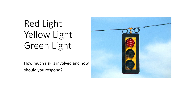# Red Light Yellow Light Green Light

How much risk is involved and how should you respond?

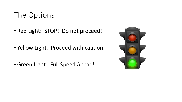## The Options

• Red Light: STOP! Do not proceed!

• Yellow Light: Proceed with caution.

• Green Light: Full Speed Ahead!

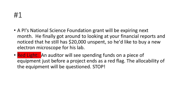### #1

- A PI's National Science Foundation grant will be expiring next month. He finally got around to looking at your financial reports and noticed that he still has \$20,000 unspent, so he'd like to buy a new electron microscope for his lab.
- Red Light: An auditor will see spending funds on a piece of equipment just before a project ends as a red flag. The allocability of the equipment will be questioned. STOP!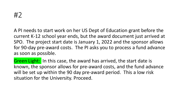

A PI needs to start work on her US Dept of Education grant before the current K-12 school year ends, but the award document just arrived at SPO. The project start date is January 1, 2022 and the sponsor allows for 90-day pre-award costs. The PI asks you to process a fund advance as soon as possible.

Green Light: In this case, the award has arrived, the start date is known, the sponsor allows for pre-award costs, and the fund advance will be set up within the 90 day pre-award period. This a low risk situation for the University. Proceed.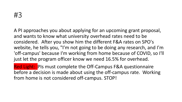A PI approaches you about applying for an upcoming grant proposal, and wants to know what university overhead rates need to be considered. After you show him the different F&A rates on SPO's website, he tells you, "I'm not going to be doing any research, and I'm 'off-campus' because I'm working from home because of COVID, so I'll just let the program officer know we need 16.5% for overhead.

Red Light: Pls must complete the Off-Campus F&A questionnaire before a decision is made about using the off-campus rate. Working from home is not considered off-campus. STOP!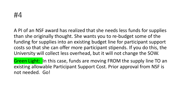

A PI of an NSF award has realized that she needs less funds for supplies than she originally thought. She wants you to re-budget some of the funding for supplies into an existing budget line for participant support costs so that she can offer more participant stipends. If you do this, the University will collect less overhead, but it will not change the SOW.

Green Light: In this case, funds are moving FROM the supply line TO an existing allowable Participant Support Cost. Prior approval from NSF is not needed. Go!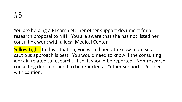You are helping a PI complete her other support document for a research proposal to NIH. You are aware that she has not listed her consulting work with a local Medical Center.

Yellow Light: In this situation, you would need to know more so a cautious approach is best. You would need to know if the consulting work in related to research. If so, it should be reported. Non-research consulting does not need to be reported as "other support." Proceed with caution.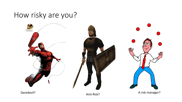## How risky are you?